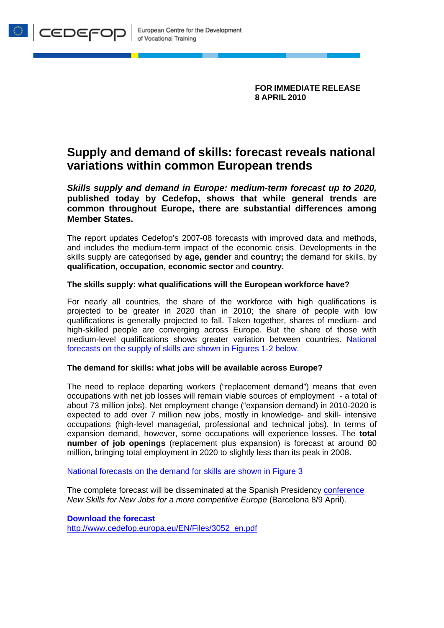**FOR IMMEDIATE RELEASE 8 APRIL 2010** 

# **Supply and demand of skills: forecast reveals national variations within common European trends**

*Skills supply and demand in Europe: medium-term forecast up to 2020,* **published today by Cedefop, shows that while general trends are common throughout Europe, there are substantial differences among Member States.** 

The report updates Cedefop's 2007-08 forecasts with improved data and methods, and includes the medium-term impact of the economic crisis. Developments in the skills supply are categorised by **age, gender** and **country;** the demand for skills, by **qualification, occupation, economic sector** and **country.** 

## **The skills supply: what qualifications will the European workforce have?**

For nearly all countries, the share of the workforce with high qualifications is projected to be greater in 2020 than in 2010; the share of people with low qualifications is generally projected to fall. Taken together, shares of medium- and high-skilled people are converging across Europe. But the share of those with medium-level qualifications shows greater variation between countries. National forecasts on the supply of skills are shown in Figures 1-2 below.

### **The demand for skills: what jobs will be available across Europe?**

The need to replace departing workers ("replacement demand") means that even occupations with net job losses will remain viable sources of employment - a total of about 73 million jobs). Net employment change ("expansion demand) in 2010-2020 is expected to add over 7 million new jobs, mostly in knowledge- and skill- intensive occupations (high-level managerial, professional and technical jobs). In terms of expansion demand, however, some occupations will experience losses. The **total number of job openings** (replacement plus expansion) is forecast at around 80 million, bringing total employment in 2020 to slightly less than its peak in 2008.

### National forecasts on the demand for skills are shown in Figure 3

The complete forecast will be disseminated at the Spanish Presidency conference *New Skills for New Jobs for a more competitive Europe* (Barcelona 8/9 April).

**Download the forecast**  http://www.cedefop.europa.eu/EN/Files/3052\_en.pdf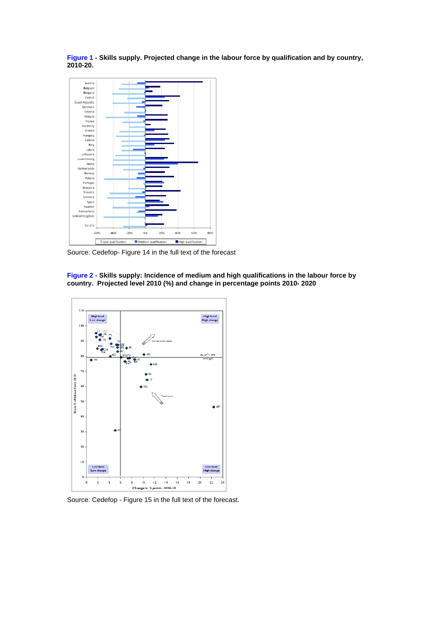**Figure 1 - Skills supply. Projected change in the labour force by qualification and by country, 2010-20.** 



Source: Cedefop- Figure 14 in the full text of the forecast

**Figure 2 - Skills supply: Incidence of medium and high qualifications in the labour force by country. Projected level 2010 (%) and change in percentage points 2010- 2020** 



Source: Cedefop - Figure 15 in the full text of the forecast.